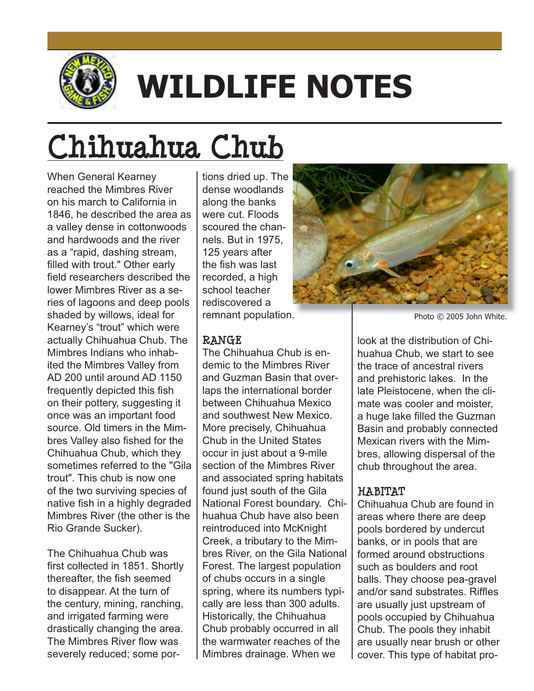

# **WILDLIFE NOTES**

## **Chihuahua Chub**

When General Kearney reached the Mimbres River on his march to California in 1846, he described the area as a valley dense in cottonwoods and hardwoods and the river as a "rapid, dashing stream, filled with trout." Other early field researchers described the lower Mimbres River as a series of lagoons and deep pools shaded by willows, ideal for Kearney's "trout" which were actually Chihuahua Chub. The Mimbres Indians who inhabited the Mimbres Valley from AD 200 until around AD 1150 frequently depicted this fish on their pottery, suggesting it once was an important food source. Old timers in the Mimbres Valley also fished for the Chihuahua Chub, which they sometimes referred to the "Gila" trout". This chub is now one of the two surviving species of native fish in a highly degraded Mimbres River (the other is the Rio Grande Sucker).

The Chihuahua Chub was first collected in 1851. Shortly thereafter, the fish seemed to disappear. At the turn of the century, mining, ranching, and irrigated farming were drastically changing the area. The Mimbres River flow was severely reduced: some portions dried up. The dense woodlands along the banks were cut. Floods scoured the channels. But in 1975, 125 years after the fish was last recorded, a high school teacher rediscovered a remnant population.

#### **RANGE**

The Chihuahua Chub is endemic to the Mimbres River and Guzman Basin that overlaps the international border between Chihuahua Mexico and southwest New Mexico. More precisely, Chihuahua Chub in the United States occur in just about a 9-mile section of the Mimbres River and associated spring habitats found just south of the Gila National Forest boundary. Chihuahua Chub have also been reintroduced into McKnight Creek, a tributary to the Mimbres River, on the Gila National Forest. The largest population of chubs occurs in a single spring, where its numbers tvpically are less than 300 adults. Historically, the Chihuahua Chub probably occurred in all the warmwater reaches of the Mimbres drainage. When we



Photo © 2005 John White.

look at the distribution of Chihuahua Chub, we start to see the trace of ancestral rivers and prehistoric lakes. In the late Pleistocene, when the climate was cooler and moister, a huge lake filled the Guzman Basin and probably connected Mexican rivers with the Mimbres, allowing dispersal of the chub throughout the area.

### **HABITAT**

Chihuahua Chub are found in areas where there are deep pools bordered by undercut banks, or in pools that are formed around obstructions such as boulders and root balls. They choose pea-gravel and/or sand substrates. Riffles are usually just upstream of pools occupied by Chihuahua Chub. The pools they inhabit are usually near brush or other cover. This type of habitat pro